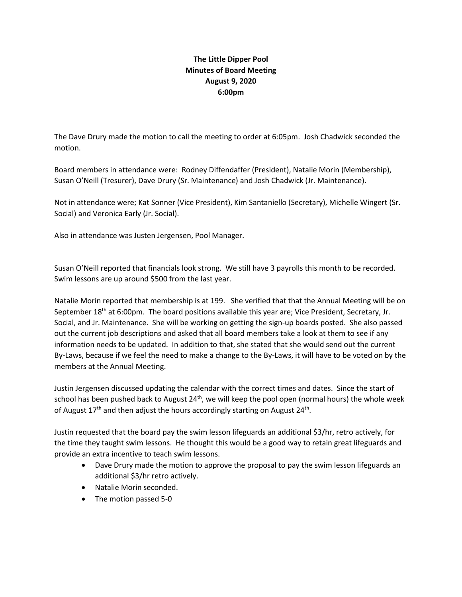## **The Little Dipper Pool Minutes of Board Meeting August 9, 2020 6:00pm**

The Dave Drury made the motion to call the meeting to order at 6:05pm. Josh Chadwick seconded the motion.

Board members in attendance were: Rodney Diffendaffer (President), Natalie Morin (Membership), Susan O'Neill (Tresurer), Dave Drury (Sr. Maintenance) and Josh Chadwick (Jr. Maintenance).

Not in attendance were; Kat Sonner (Vice President), Kim Santaniello (Secretary), Michelle Wingert (Sr. Social) and Veronica Early (Jr. Social).

Also in attendance was Justen Jergensen, Pool Manager.

Susan O'Neill reported that financials look strong. We still have 3 payrolls this month to be recorded. Swim lessons are up around \$500 from the last year.

Natalie Morin reported that membership is at 199. She verified that that the Annual Meeting will be on September 18<sup>th</sup> at 6:00pm. The board positions available this year are; Vice President, Secretary, Jr. Social, and Jr. Maintenance. She will be working on getting the sign-up boards posted. She also passed out the current job descriptions and asked that all board members take a look at them to see if any information needs to be updated. In addition to that, she stated that she would send out the current By-Laws, because if we feel the need to make a change to the By-Laws, it will have to be voted on by the members at the Annual Meeting.

Justin Jergensen discussed updating the calendar with the correct times and dates. Since the start of school has been pushed back to August  $24<sup>th</sup>$ , we will keep the pool open (normal hours) the whole week of August 17<sup>th</sup> and then adjust the hours accordingly starting on August 24<sup>th</sup>.

Justin requested that the board pay the swim lesson lifeguards an additional \$3/hr, retro actively, for the time they taught swim lessons. He thought this would be a good way to retain great lifeguards and provide an extra incentive to teach swim lessons.

- Dave Drury made the motion to approve the proposal to pay the swim lesson lifeguards an additional \$3/hr retro actively.
- Natalie Morin seconded.
- The motion passed 5-0